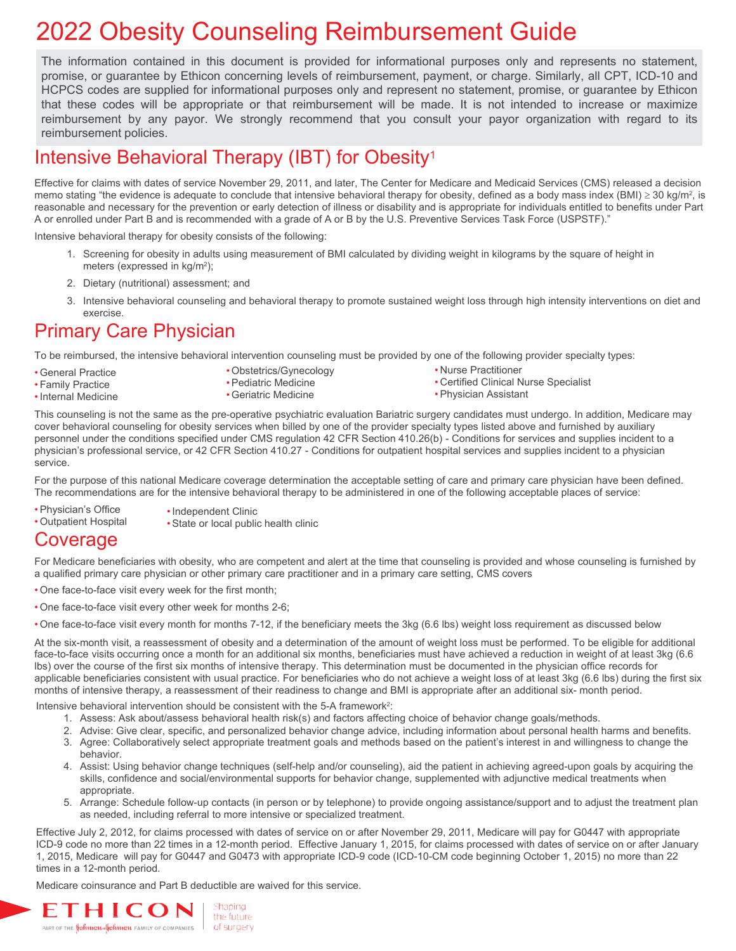## 2022 Obesity Counseling Reimbursement Guide

The information contained in this document is provided for informational purposes only and represents no statement, promise, or guarantee by Ethicon concerning levels of reimbursement, payment, or charge. Similarly, all CPT, ICD-10 and HCPCS codes are supplied for informational purposes only and represent no statement, promise, or guarantee by Ethicon that these codes will be appropriate or that reimbursement will be made. It is not intended to increase or maximize reimbursement by any payor. We strongly recommend that you consult your payor organization with regard to its reimbursement policies.

## Intensive Behavioral Therapy (IBT) for Obesity<sup>1</sup>

Effective for claims with dates of service November 29, 2011, and later, The Center for Medicare and Medicaid Services (CMS) released a decision memo stating "the evidence is adequate to conclude that intensive behavioral therapy for obesity, defined as a body mass index (BMI)  $\geq$  30 kg/m<sup>2</sup>, is reasonable and necessary for the prevention or early detection of illness or disability and is appropriate for individuals entitled to benefits under Part A or enrolled under Part B and is recommended with a grade of A or B by the U.S. Preventive Services Task Force (USPSTF)."

Intensive behavioral therapy for obesity consists of the following:

- 1. Screening for obesity in adults using measurement of BMI calculated by dividing weight in kilograms by the square of height in meters (expressed in kg/m2);
- 2. Dietary (nutritional) assessment; and
- 3. Intensive behavioral counseling and behavioral therapy to promote sustained weight loss through high intensity interventions on diet and exercise.

## Primary Care Physician

To be reimbursed, the intensive behavioral intervention counseling must be provided by one of the following provider specialty types:

- General Practice
- Family Practice
- •Internal Medicine
- Pediatric Medicine

• Obstetrics/Gynecology

• Geriatric Medicine

- Nurse Practitioner
- Certified Clinical Nurse Specialist
- Physician Assistant

This counseling is not the same as the pre-operative psychiatric evaluation Bariatric surgery candidates must undergo. In addition, Medicare may cover behavioral counseling for obesity services when billed by one of the provider specialty types listed above and furnished by auxiliary personnel under the conditions specified under CMS regulation 42 CFR Section 410.26(b) - Conditions for services and supplies incident to a physician's professional service, or 42 CFR Section 410.27 - Conditions for outpatient hospital services and supplies incident to a physician service.

For the purpose of this national Medicare coverage determination the acceptable setting of care and primary care physician have been defined. The recommendations are for the intensive behavioral therapy to be administered in one of the following acceptable places of service:

- Physician's Office • Outpatient Hospital •Independent Clinic
	- State or local public health clinic

## Coverage

For Medicare beneficiaries with obesity, who are competent and alert at the time that counseling is provided and whose counseling is furnished by a qualified primary care physician or other primary care practitioner and in a primary care setting, CMS covers

- One face-to-face visit every week for the first month;
- One face-to-face visit every other week for months 2-6;
- One face-to-face visit every month for months 7-12, if the beneficiary meets the 3kg (6.6 lbs) weight loss requirement as discussed below

At the six-month visit, a reassessment of obesity and a determination of the amount of weight loss must be performed. To be eligible for additional face-to-face visits occurring once a month for an additional six months, beneficiaries must have achieved a reduction in weight of at least 3kg (6.6 lbs) over the course of the first six months of intensive therapy. This determination must be documented in the physician office records for applicable beneficiaries consistent with usual practice. For beneficiaries who do not achieve a weight loss of at least 3kg (6.6 lbs) during the first six months of intensive therapy, a reassessment of their readiness to change and BMI is appropriate after an additional six- month period.

Intensive behavioral intervention should be consistent with the 5-A framework<sup>2</sup>:

- 1. Assess: Ask about/assess behavioral health risk(s) and factors affecting choice of behavior change goals/methods.
- 2. Advise: Give clear, specific, and personalized behavior change advice, including information about personal health harms and benefits. 3. Agree: Collaboratively select appropriate treatment goals and methods based on the patient's interest in and willingness to change the behavior.
- 4. Assist: Using behavior change techniques (self-help and/or counseling), aid the patient in achieving agreed-upon goals by acquiring the skills, confidence and social/environmental supports for behavior change, supplemented with adjunctive medical treatments when appropriate.
- 5. Arrange: Schedule follow-up contacts (in person or by telephone) to provide ongoing assistance/support and to adjust the treatment plan as needed, including referral to more intensive or specialized treatment.

Effective July 2, 2012, for claims processed with dates of service on or after November 29, 2011, Medicare will pay for G0447 with appropriate ICD-9 code no more than 22 times in a 12-month period. Effective January 1, 2015, for claims processed with dates of service on or after January 1, 2015, Medicare will pay for G0447 and G0473 with appropriate ICD-9 code (ICD-10-CM code beginning October 1, 2015) no more than 22 times in a 12-month period.

Medicare coinsurance and Part B deductible are waived for this service.